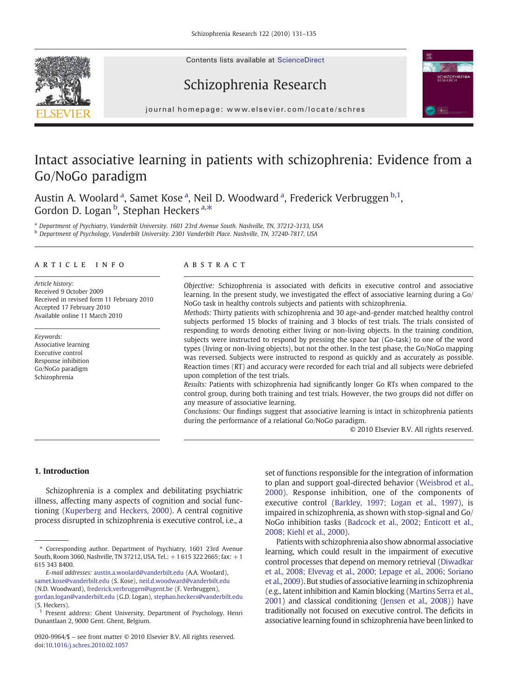Contents lists available at ScienceDirect







j o u r n a l h om e p a g e : www. e l s ev i e r. c om / l o c a t e / s c h r e s

# Intact associative learning in patients with schizophrenia: Evidence from a Go/NoGo paradigm

Austin A. Woolard <sup>a</sup>, Samet Kose <sup>a</sup>, Neil D. Woodward <sup>a</sup>, Frederick Verbruggen <sup>b, 1</sup>, Gordon D. Logan <sup>b</sup>, Stephan Heckers <sup>a,\*</sup>

<sup>a</sup> Department of Psychiatry, Vanderbilt University. 1601 23rd Avenue South. Nashville, TN, 37212-3133, USA

<sup>b</sup> Department of Psychology, Vanderbilt University. 2301 Vanderbilt Place. Nashville, TN, 37240-7817, USA

#### article info abstract

Article history: Received 9 October 2009 Received in revised form 11 February 2010 Accepted 17 February 2010 Available online 11 March 2010

Keywords: Associative learning Executive control Response inhibition Go/NoGo paradigm Schizophrenia

Objective: Schizophrenia is associated with deficits in executive control and associative learning. In the present study, we investigated the effect of associative learning during a Go/ NoGo task in healthy controls subjects and patients with schizophrenia.

Methods: Thirty patients with schizophrenia and 30 age-and-gender matched healthy control subjects performed 15 blocks of training and 3 blocks of test trials. The trials consisted of responding to words denoting either living or non-living objects. In the training condition, subjects were instructed to respond by pressing the space bar (Go-task) to one of the word types (living or non-living objects), but not the other. In the test phase, the Go/NoGo mapping was reversed. Subjects were instructed to respond as quickly and as accurately as possible. Reaction times (RT) and accuracy were recorded for each trial and all subjects were debriefed upon completion of the test trials.

Results: Patients with schizophrenia had significantly longer Go RTs when compared to the control group, during both training and test trials. However, the two groups did not differ on any measure of associative learning.

Conclusions: Our findings suggest that associative learning is intact in schizophrenia patients during the performance of a relational Go/NoGo paradigm.

© 2010 Elsevier B.V. All rights reserved.

# 1. Introduction

Schizophrenia is a complex and debilitating psychiatric illness, affecting many aspects of cognition and social functioning [\(Kuperberg and Heckers, 2000\)](#page-4-0). A central cognitive process disrupted in schizophrenia is executive control, i.e., a set of functions responsible for the integration of information to plan and support goal-directed behavior ([Weisbrod et al.,](#page-4-0) [2000\)](#page-4-0). Response inhibition, one of the components of executive control ([Barkley, 1997; Logan et al., 1997](#page-4-0)), is impaired in schizophrenia, as shown with stop-signal and Go/ NoGo inhibition tasks ([Badcock et al., 2002; Enticott et al.,](#page-4-0) [2008; Kiehl et al., 2000](#page-4-0)).

Patients with schizophrenia also show abnormal associative learning, which could result in the impairment of executive control processes that depend on memory retrieval ([Diwadkar](#page-4-0) [et al., 2008; Elvevag et al., 2000; Lepage et al., 2006; Soriano](#page-4-0) [et al., 2009](#page-4-0)). But studies of associative learning in schizophrenia (e.g., latent inhibition and Kamin blocking [\(Martins Serra et al.,](#page-4-0) [2001\)](#page-4-0) and classical conditioning ([Jensen et al., 2008\)](#page-4-0)) have traditionally not focused on executive control. The deficits in associative learning found in schizophrenia have been linked to

<sup>⁎</sup> Corresponding author. Department of Psychiatry, 1601 23rd Avenue South, Room 3060, Nashville, TN 37212, USA. Tel.: +1 615 322 2665; fax: +1 615 343 8400.

E-mail addresses: [austin.a.woolard@vanderbilt.edu](mailto:austin.a.woolard@vanderbilt.edu) (A.A. Woolard), [samet.kose@vanderbilt.edu](mailto:samet.kose@vanderbilt.edu) (S. Kose), [neil.d.woodward@vanderbilt.edu](mailto:neil.d.woodward@vanderbilt.edu) (N.D. Woodward), [frederick.verbruggen@ugent.be](mailto:frederick.verbruggen@ugent.be) (F. Verbruggen), [gordan.logan@vanderbilt.edu](mailto:gordan.logan@vanderbilt.edu) (G.D. Logan), [stephan.heckers@vanderbilt.edu](mailto:stephan.heckers@vanderbilt.edu) (S. Heckers).

<sup>&</sup>lt;sup>1</sup> Present address: Ghent University, Department of Psychology. Henri Dunantlaan 2, 9000 Gent. Ghent, Belgium.

<sup>0920-9964/\$</sup> – see front matter © 2010 Elsevier B.V. All rights reserved. doi[:10.1016/j.schres.2010.02.1057](http://dx.doi.org/10.1016/j.schres.2010.02.1057)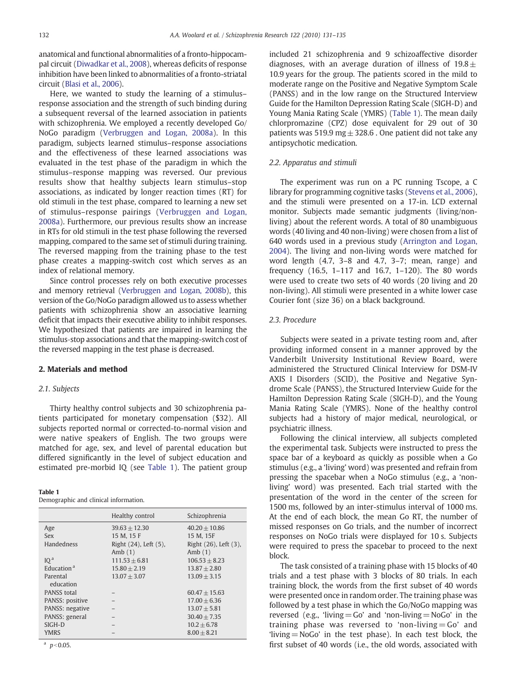anatomical and functional abnormalities of a fronto-hippocampal circuit [\(Diwadkar et al., 2008\)](#page-4-0), whereas deficits of response inhibition have been linked to abnormalities of a fronto-striatal circuit [\(Blasi et al., 2006](#page-4-0)).

Here, we wanted to study the learning of a stimulus– response association and the strength of such binding during a subsequent reversal of the learned association in patients with schizophrenia. We employed a recently developed Go/ NoGo paradigm ([Verbruggen and Logan, 2008a](#page-4-0)). In this paradigm, subjects learned stimulus–response associations and the effectiveness of these learned associations was evaluated in the test phase of the paradigm in which the stimulus–response mapping was reversed. Our previous results show that healthy subjects learn stimulus–stop associations, as indicated by longer reaction times (RT) for old stimuli in the test phase, compared to learning a new set of stimulus–response pairings [\(Verbruggen and Logan,](#page-4-0) [2008a](#page-4-0)). Furthermore, our previous results show an increase in RTs for old stimuli in the test phase following the reversed mapping, compared to the same set of stimuli during training. The reversed mapping from the training phase to the test phase creates a mapping-switch cost which serves as an index of relational memory.

Since control processes rely on both executive processes and memory retrieval [\(Verbruggen and Logan, 2008b](#page-4-0)), this version of the Go/NoGo paradigm allowed us to assess whether patients with schizophrenia show an associative learning deficit that impacts their executive ability to inhibit responses. We hypothesized that patients are impaired in learning the stimulus‐stop associations and that the mapping-switch cost of the reversed mapping in the test phase is decreased.

# 2. Materials and method

# 2.1. Subjects

Thirty healthy control subjects and 30 schizophrenia patients participated for monetary compensation (\$32). All subjects reported normal or corrected-to-normal vision and were native speakers of English. The two groups were matched for age, sex, and level of parental education but differed significantly in the level of subject education and estimated pre-morbid IQ (see Table 1). The patient group

#### Table 1

Demographic and clinical information.

|                        | Healthy control       | Schizophrenia         |
|------------------------|-----------------------|-----------------------|
| Age                    | $39.63 + 12.30$       | $40.20 \pm 10.86$     |
| Sex                    | 15 M, 15 F            | 15 M, 15F             |
| <b>Handedness</b>      | Right (24), Left (5), | Right (26), Left (3), |
|                        | Amb $(1)$             | Amb $(1)$             |
| IO <sup>a</sup>        | $111.53 + 6.81$       | $106.53 \pm 8.23$     |
| Education <sup>a</sup> | $15.80 + 2.19$        | $13.87 + 2.80$        |
| Parental<br>education  | $13.07 \pm 3.07$      | $13.09 \pm 3.15$      |
| <b>PANSS total</b>     |                       | $60.47 + 15.63$       |
| PANSS: positive        |                       | $17.00 + 6.36$        |
| PANSS: negative        |                       | $13.07 + 5.81$        |
| PANSS: general         |                       | $30.40 + 7.35$        |
| SIGH-D                 |                       | $10.2 + 6.78$         |
| <b>YMRS</b>            |                       | $8.00 + 8.21$         |

 $p < 0.05$ .

included 21 schizophrenia and 9 schizoaffective disorder diagnoses, with an average duration of illness of  $19.8 \pm$ 10.9 years for the group. The patients scored in the mild to moderate range on the Positive and Negative Symptom Scale (PANSS) and in the low range on the Structured Interview Guide for the Hamilton Depression Rating Scale (SIGH-D) and Young Mania Rating Scale (YMRS) (Table 1). The mean daily chlorpromazine (CPZ) dose equivalent for 29 out of 30 patients was 519.9 mg  $\pm$  328.6 . One patient did not take any antipsychotic medication.

## 2.2. Apparatus and stimuli

The experiment was run on a PC running Tscope, a C library for programming cognitive tasks [\(Stevens et al., 2006](#page-4-0)), and the stimuli were presented on a 17-in. LCD external monitor. Subjects made semantic judgments (living/nonliving) about the referent words. A total of 80 unambiguous words (40 living and 40 non-living) were chosen from a list of 640 words used in a previous study ([Arrington and Logan,](#page-4-0) [2004](#page-4-0)). The living and non-living words were matched for word length (4.7, 3–8 and 4.7, 3–7; mean, range) and frequency (16.5, 1–117 and 16.7, 1–120). The 80 words were used to create two sets of 40 words (20 living and 20 non-living). All stimuli were presented in a white lower case Courier font (size 36) on a black background.

#### 2.3. Procedure

Subjects were seated in a private testing room and, after providing informed consent in a manner approved by the Vanderbilt University Institutional Review Board, were administered the Structured Clinical Interview for DSM-IV AXIS I Disorders (SCID), the Positive and Negative Syndrome Scale (PANSS), the Structured Interview Guide for the Hamilton Depression Rating Scale (SIGH-D), and the Young Mania Rating Scale (YMRS). None of the healthy control subjects had a history of major medical, neurological, or psychiatric illness.

Following the clinical interview, all subjects completed the experimental task. Subjects were instructed to press the space bar of a keyboard as quickly as possible when a Go stimulus (e.g., a 'living' word) was presented and refrain from pressing the spacebar when a NoGo stimulus (e.g., a 'nonliving' word) was presented. Each trial started with the presentation of the word in the center of the screen for 1500 ms, followed by an inter-stimulus interval of 1000 ms. At the end of each block, the mean Go RT, the number of missed responses on Go trials, and the number of incorrect responses on NoGo trials were displayed for 10 s. Subjects were required to press the spacebar to proceed to the next block.

The task consisted of a training phase with 15 blocks of 40 trials and a test phase with 3 blocks of 80 trials. In each training block, the words from the first subset of 40 words were presented once in random order. The training phase was followed by a test phase in which the Go/NoGo mapping was reversed (e.g., 'living = Go' and 'non-living =  $NoGo'$  in the training phase was reversed to 'non-living  $=G_0$ ' and 'living  $=$  NoGo' in the test phase). In each test block, the first subset of 40 words (i.e., the old words, associated with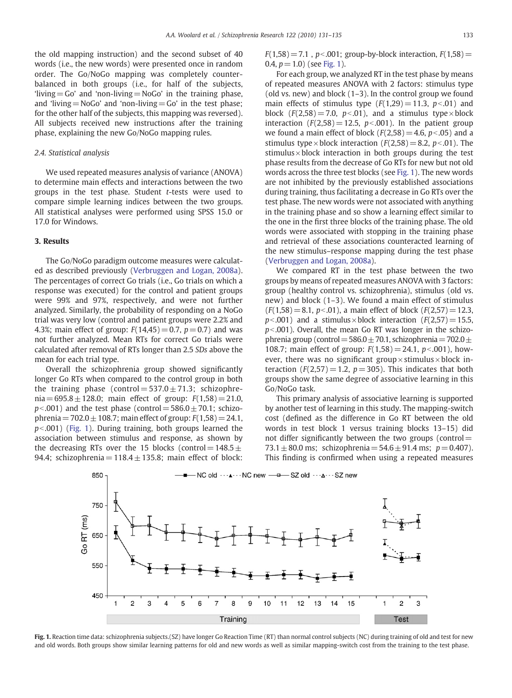the old mapping instruction) and the second subset of 40 words (i.e., the new words) were presented once in random order. The Go/NoGo mapping was completely counterbalanced in both groups (i.e., for half of the subjects, 'living=Go' and 'non-living=NoGo' in the training phase, and 'living  $=NoGo'$  and 'non-living  $=Go'$  in the test phase; for the other half of the subjects, this mapping was reversed). All subjects received new instructions after the training phase, explaining the new Go/NoGo mapping rules.

#### 2.4. Statistical analysis

We used repeated measures analysis of variance (ANOVA) to determine main effects and interactions between the two groups in the test phase. Student t-tests were used to compare simple learning indices between the two groups. All statistical analyses were performed using SPSS 15.0 or 17.0 for Windows.

# 3. Results

The Go/NoGo paradigm outcome measures were calculated as described previously ([Verbruggen and Logan, 2008a\)](#page-4-0). The percentages of correct Go trials (i.e., Go trials on which a response was executed) for the control and patient groups were 99% and 97%, respectively, and were not further analyzed. Similarly, the probability of responding on a NoGo trial was very low (control and patient groups were 2.2% and 4.3%; main effect of group:  $F(14,45) = 0.7$ ,  $p = 0.7$ ) and was not further analyzed. Mean RTs for correct Go trials were calculated after removal of RTs longer than 2.5 SDs above the mean for each trial type.

Overall the schizophrenia group showed significantly longer Go RTs when compared to the control group in both the training phase (control =  $537.0 \pm 71.3$ ; schizophrenia =  $695.8 \pm 128.0$ ; main effect of group:  $F(1,58) = 21.0$ ,  $p<0.001$ ) and the test phase (control = 586.0  $\pm$  70.1; schizophrenia  $= 702.0 + 108.7$ ; main effect of group:  $F(1.58) = 24.1$ ,  $p<.001$ ) (Fig. 1). During training, both groups learned the association between stimulus and response, as shown by the decreasing RTs over the 15 blocks (control=  $148.5±$ 94.4; schizophrenia =  $118.4 \pm 135.8$ ; main effect of block:

 $F(1,58)=7.1$ ,  $p<0.001$ ; group-by-block interaction,  $F(1,58)=$ 0.4,  $p=1.0$ ) (see Fig. 1).

For each group, we analyzed RT in the test phase by means of repeated measures ANOVA with 2 factors: stimulus type (old vs. new) and block (1–3). In the control group we found main effects of stimulus type  $(F(1,29)=11.3, p<0.01)$  and block  $(F(2,58) = 7.0, p<0.01)$ , and a stimulus type× block interaction  $(F(2,58) = 12.5, p<0.01)$ . In the patient group we found a main effect of block  $(F(2,58) = 4.6, p<0.05)$  and a stimulus type  $\times$  block interaction ( $F(2,58) = 8.2$ ,  $p < .01$ ). The stimulus $\times$  block interaction in both groups during the test phase results from the decrease of Go RTs for new but not old words across the three test blocks (see Fig. 1). The new words are not inhibited by the previously established associations during training, thus facilitating a decrease in Go RTs over the test phase. The new words were not associated with anything in the training phase and so show a learning effect similar to the one in the first three blocks of the training phase. The old words were associated with stopping in the training phase and retrieval of these associations counteracted learning of the new stimulus–response mapping during the test phase ([Verbruggen and Logan, 2008a](#page-4-0)).

We compared RT in the test phase between the two groups by means of repeated measures ANOVA with 3 factors: group (healthy control vs. schizophrenia), stimulus (old vs. new) and block (1–3). We found a main effect of stimulus  $(F(1,58)=8.1, p<0.01)$ , a main effect of block  $(F(2,57)=12.3,$  $p<0.001$ ) and a stimulus×block interaction ( $F(2,57)=15.5$ ,  $p<0.001$ ). Overall, the mean Go RT was longer in the schizophrenia group (control =  $586.0 \pm 70.1$ , schizophrenia =  $702.0 \pm 10^{11}$ 108.7; main effect of group:  $F(1,58) = 24.1$ ,  $p < .001$ ), however, there was no significant group  $\times$  stimulus  $\times$  block interaction  $(F(2,57)= 1.2, p= 305)$ . This indicates that both groups show the same degree of associative learning in this Go/NoGo task.

This primary analysis of associative learning is supported by another test of learning in this study. The mapping-switch cost (defined as the difference in Go RT between the old words in test block 1 versus training blocks 13–15) did not differ significantly between the two groups (control= 73.1  $\pm$  80.0 ms; schizophrenia = 54.6  $\pm$  91.4 ms; p = 0.407). This finding is confirmed when using a repeated measures



Fig. 1. Reaction time data: schizophrenia subjects.(SZ) have longer Go Reaction Time (RT) than normal control subjects (NC) during training of old and test for new and old words. Both groups show similar learning patterns for old and new words as well as similar mapping-switch cost from the training to the test phase.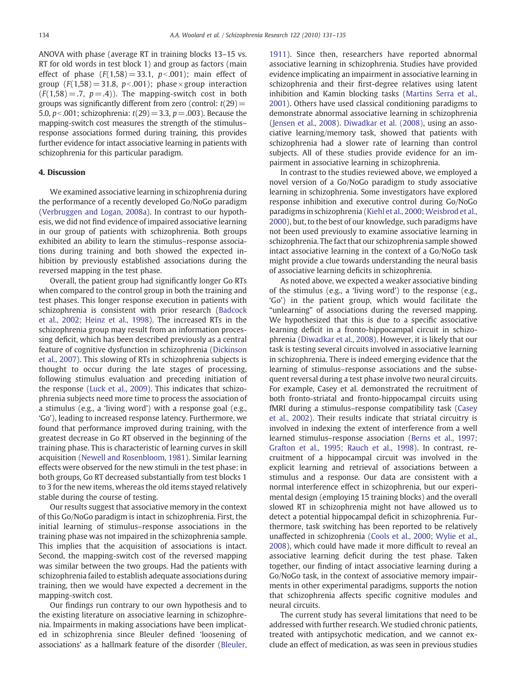ANOVA with phase (average RT in training blocks 13–15 vs. RT for old words in test block 1) and group as factors (main effect of phase  $(F(1,58) = 33.1, p<0.001)$ ; main effect of group  $(F(1,58) = 31.8, p < .001)$ ; phase × group interaction  $(F(1,58) = .7, p = .4)$ ). The mapping-switch cost in both groups was significantly different from zero (control:  $t(29)$  = 5.0,  $p<0.01$ ; schizophrenia:  $t(29)=3.3$ ,  $p=.003$ ). Because the mapping-switch cost measures the strength of the stimulus– response associations formed during training, this provides further evidence for intact associative learning in patients with schizophrenia for this particular paradigm.

# 4. Discussion

We examined associative learning in schizophrenia during the performance of a recently developed Go/NoGo paradigm ([Verbruggen and Logan, 2008a\)](#page-4-0). In contrast to our hypothesis, we did not find evidence of impaired associative learning in our group of patients with schizophrenia. Both groups exhibited an ability to learn the stimulus–response associations during training and both showed the expected inhibition by previously established associations during the reversed mapping in the test phase.

Overall, the patient group had significantly longer Go RTs when compared to the control group in both the training and test phases. This longer response execution in patients with schizophrenia is consistent with prior research ([Badcock](#page-4-0) [et al., 2002; Heinz et al., 1998](#page-4-0)). The increased RTs in the schizophrenia group may result from an information processing deficit, which has been described previously as a central feature of cognitive dysfunction in schizophrenia [\(Dickinson](#page-4-0) [et al., 2007](#page-4-0)). This slowing of RTs in schizophrenia subjects is thought to occur during the late stages of processing, following stimulus evaluation and preceding initiation of the response [\(Luck et al., 2009\)](#page-4-0). This indicates that schizophrenia subjects need more time to process the association of a stimulus (e.g., a 'living word') with a response goal (e.g., 'Go'), leading to increased response latency. Furthermore, we found that performance improved during training, with the greatest decrease in Go RT observed in the beginning of the training phase. This is characteristic of learning curves in skill acquisition ([Newell and Rosenbloom, 1981](#page-4-0)). Similar learning effects were observed for the new stimuli in the test phase: in both groups, Go RT decreased substantially from test blocks 1 to 3 for the new items, whereas the old items stayed relatively stable during the course of testing.

Our results suggest that associative memory in the context of this Go/NoGo paradigm is intact in schizophrenia. First, the initial learning of stimulus–response associations in the training phase was not impaired in the schizophrenia sample. This implies that the acquisition of associations is intact. Second, the mapping-switch cost of the reversed mapping was similar between the two groups. Had the patients with schizophrenia failed to establish adequate associations during training, then we would have expected a decrement in the mapping-switch cost.

Our findings run contrary to our own hypothesis and to the existing literature on associative learning in schizophrenia. Impairments in making associations have been implicated in schizophrenia since Bleuler defined 'loosening of associations' as a hallmark feature of the disorder ([Bleuler,](#page-4-0) [1911\)](#page-4-0). Since then, researchers have reported abnormal associative learning in schizophrenia. Studies have provided evidence implicating an impairment in associative learning in schizophrenia and their first-degree relatives using latent inhibition and Kamin blocking tasks ([Martins Serra et al.,](#page-4-0) [2001](#page-4-0)). Others have used classical conditioning paradigms to demonstrate abnormal associative learning in schizophrenia ([Jensen et al., 2008](#page-4-0)). [Diwadkar et al. \(2008\),](#page-4-0) using an associative learning/memory task, showed that patients with schizophrenia had a slower rate of learning than control subjects. All of these studies provide evidence for an impairment in associative learning in schizophrenia.

In contrast to the studies reviewed above, we employed a novel version of a Go/NoGo paradigm to study associative learning in schizophrenia. Some investigators have explored response inhibition and executive control during Go/NoGo paradigms in schizophrenia [\(Kiehl et al., 2000;Weisbrod et al.,](#page-4-0) [2000](#page-4-0)), but, to the best of our knowledge, such paradigms have not been used previously to examine associative learning in schizophrenia. The fact that our schizophrenia sample showed intact associative learning in the context of a Go/NoGo task might provide a clue towards understanding the neural basis of associative learning deficits in schizophrenia.

As noted above, we expected a weaker associative binding of the stimulus (e.g., a 'living word') to the response (e.g., 'Go') in the patient group, which would facilitate the "unlearning" of associations during the reversed mapping. We hypothesized that this is due to a specific associative learning deficit in a fronto-hippocampal circuit in schizophrenia [\(Diwadkar et al., 2008\)](#page-4-0). However, it is likely that our task is testing several circuits involved in associative learning in schizophrenia. There is indeed emerging evidence that the learning of stimulus–response associations and the subsequent reversal during a test phase involve two neural circuits. For example, Casey et al. demonstrated the recruitment of both fronto-striatal and fronto-hippocampal circuits using fMRI during a stimulus–response compatibility task ([Casey](#page-4-0) [et al., 2002\)](#page-4-0). Their results indicate that striatal circuitry is involved in indexing the extent of interference from a well learned stimulus–response association [\(Berns et al., 1997;](#page-4-0) [Grafton et al., 1995; Rauch et al., 1998\)](#page-4-0). In contrast, recruitment of a hippocampal circuit was involved in the explicit learning and retrieval of associations between a stimulus and a response. Our data are consistent with a normal interference effect in schizophrenia, but our experimental design (employing 15 training blocks) and the overall slowed RT in schizophrenia might not have allowed us to detect a potential hippocampal deficit in schizophrenia. Furthermore, task switching has been reported to be relatively unaffected in schizophrenia ([Cools et al., 2000; Wylie et al.,](#page-4-0) [2008](#page-4-0)), which could have made it more difficult to reveal an associative learning deficit during the test phase. Taken together, our finding of intact associative learning during a Go/NoGo task, in the context of associative memory impairments in other experimental paradigms, supports the notion that schizophrenia affects specific cognitive modules and neural circuits.

The current study has several limitations that need to be addressed with further research. We studied chronic patients, treated with antipsychotic medication, and we cannot exclude an effect of medication, as was seen in previous studies